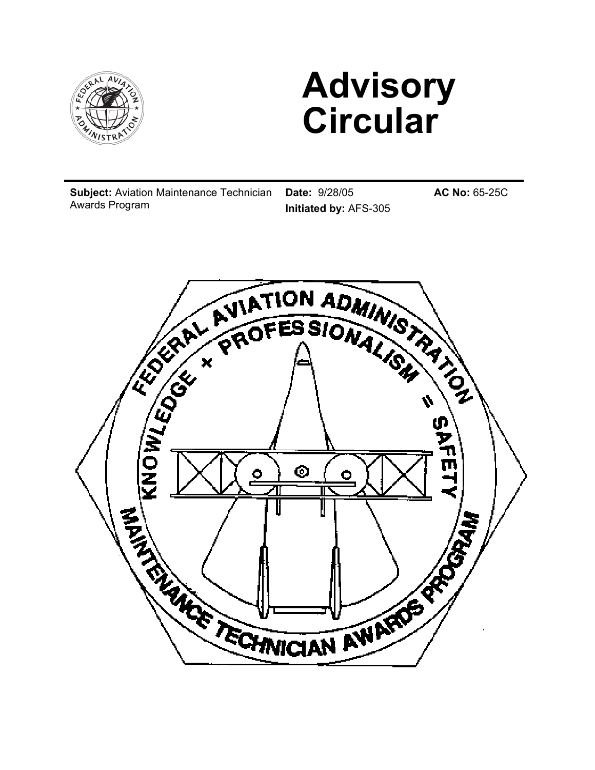

# **Advisory Circular**

**Subject:** Aviation Maintenance Technician Awards Program

**Date:** 9/28/05 **Initiated by:** AFS-305 **AC No:** 65-25C

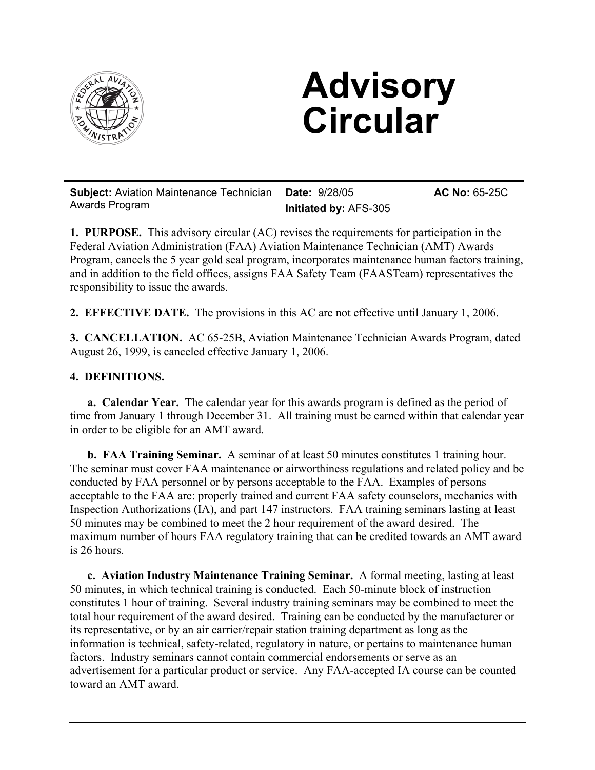

# **Advisory Circular**

**Subject:** Aviation Maintenance Technician Awards Program **Date:** 9/28/05 **Initiated by:** AFS-305 **AC No:** 65-25C

**1. PURPOSE.** This advisory circular (AC) revises the requirements for participation in the Federal Aviation Administration (FAA) Aviation Maintenance Technician (AMT) Awards Program, cancels the 5 year gold seal program, incorporates maintenance human factors training, and in addition to the field offices, assigns FAA Safety Team (FAASTeam) representatives the responsibility to issue the awards.

**2. EFFECTIVE DATE.** The provisions in this AC are not effective until January 1, 2006.

**3. CANCELLATION.** AC 65-25B, Aviation Maintenance Technician Awards Program, dated August 26, 1999, is canceled effective January 1, 2006.

## **4. DEFINITIONS.**

**a. Calendar Year.** The calendar year for this awards program is defined as the period of time from January 1 through December 31. All training must be earned within that calendar year in order to be eligible for an AMT award.

**b. FAA Training Seminar.** A seminar of at least 50 minutes constitutes 1 training hour. The seminar must cover FAA maintenance or airworthiness regulations and related policy and be conducted by FAA personnel or by persons acceptable to the FAA. Examples of persons acceptable to the FAA are: properly trained and current FAA safety counselors, mechanics with Inspection Authorizations (IA), and part 147 instructors. FAA training seminars lasting at least 50 minutes may be combined to meet the 2 hour requirement of the award desired. The maximum number of hours FAA regulatory training that can be credited towards an AMT award is 26 hours.

**c. Aviation Industry Maintenance Training Seminar.** A formal meeting, lasting at least 50 minutes, in which technical training is conducted. Each 50-minute block of instruction constitutes 1 hour of training. Several industry training seminars may be combined to meet the total hour requirement of the award desired. Training can be conducted by the manufacturer or its representative, or by an air carrier/repair station training department as long as the information is technical, safety-related, regulatory in nature, or pertains to maintenance human factors. Industry seminars cannot contain commercial endorsements or serve as an advertisement for a particular product or service. Any FAA-accepted IA course can be counted toward an AMT award.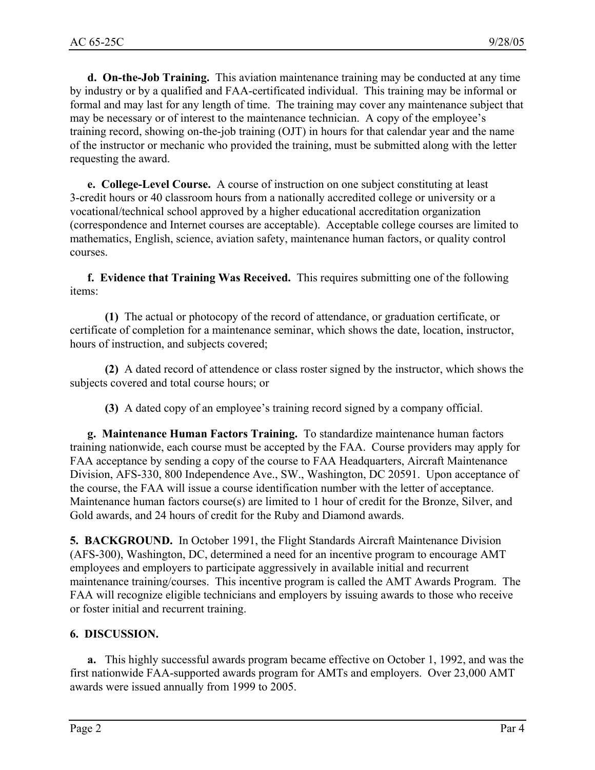**d. On-the-Job Training.** This aviation maintenance training may be conducted at any time by industry or by a qualified and FAA-certificated individual. This training may be informal or formal and may last for any length of time. The training may cover any maintenance subject that may be necessary or of interest to the maintenance technician. A copy of the employee's training record, showing on-the-job training (OJT) in hours for that calendar year and the name of the instructor or mechanic who provided the training, must be submitted along with the letter requesting the award.

**e. College-Level Course.** A course of instruction on one subject constituting at least 3-credit hours or 40 classroom hours from a nationally accredited college or university or a vocational/technical school approved by a higher educational accreditation organization (correspondence and Internet courses are acceptable). Acceptable college courses are limited to mathematics, English, science, aviation safety, maintenance human factors, or quality control courses.

**f. Evidence that Training Was Received.** This requires submitting one of the following items:

**(1)** The actual or photocopy of the record of attendance, or graduation certificate, or certificate of completion for a maintenance seminar, which shows the date, location, instructor, hours of instruction, and subjects covered;

**(2)** A dated record of attendence or class roster signed by the instructor, which shows the subjects covered and total course hours; or

**(3)** A dated copy of an employee's training record signed by a company official.

**g. Maintenance Human Factors Training.** To standardize maintenance human factors training nationwide, each course must be accepted by the FAA. Course providers may apply for FAA acceptance by sending a copy of the course to FAA Headquarters, Aircraft Maintenance Division, AFS-330, 800 Independence Ave., SW., Washington, DC 20591. Upon acceptance of the course, the FAA will issue a course identification number with the letter of acceptance. Maintenance human factors course(s) are limited to 1 hour of credit for the Bronze, Silver, and Gold awards, and 24 hours of credit for the Ruby and Diamond awards.

**5. BACKGROUND.** In October 1991, the Flight Standards Aircraft Maintenance Division (AFS-300), Washington, DC, determined a need for an incentive program to encourage AMT employees and employers to participate aggressively in available initial and recurrent maintenance training/courses. This incentive program is called the AMT Awards Program. The FAA will recognize eligible technicians and employers by issuing awards to those who receive or foster initial and recurrent training.

### **6. DISCUSSION.**

**a.** This highly successful awards program became effective on October 1, 1992, and was the first nationwide FAA-supported awards program for AMTs and employers. Over 23,000 AMT awards were issued annually from 1999 to 2005.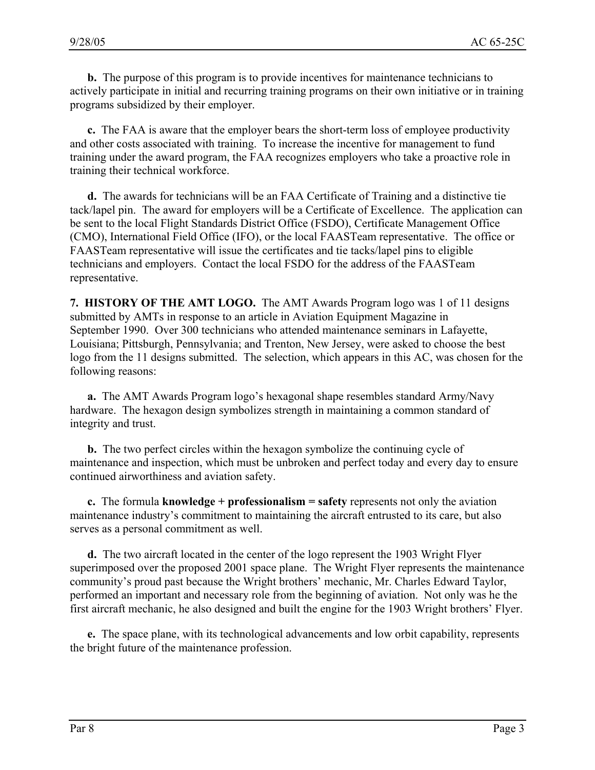**b.** The purpose of this program is to provide incentives for maintenance technicians to actively participate in initial and recurring training programs on their own initiative or in training programs subsidized by their employer.

**c.** The FAA is aware that the employer bears the short-term loss of employee productivity and other costs associated with training. To increase the incentive for management to fund training under the award program, the FAA recognizes employers who take a proactive role in training their technical workforce.

**d.** The awards for technicians will be an FAA Certificate of Training and a distinctive tie tack/lapel pin. The award for employers will be a Certificate of Excellence. The application can be sent to the local Flight Standards District Office (FSDO), Certificate Management Office (CMO), International Field Office (IFO), or the local FAASTeam representative. The office or FAASTeam representative will issue the certificates and tie tacks/lapel pins to eligible technicians and employers. Contact the local FSDO for the address of the FAASTeam representative.

**7. HISTORY OF THE AMT LOGO.** The AMT Awards Program logo was 1 of 11 designs submitted by AMTs in response to an article in Aviation Equipment Magazine in September 1990. Over 300 technicians who attended maintenance seminars in Lafayette, Louisiana; Pittsburgh, Pennsylvania; and Trenton, New Jersey, were asked to choose the best logo from the 11 designs submitted. The selection, which appears in this AC, was chosen for the following reasons:

**a.** The AMT Awards Program logo's hexagonal shape resembles standard Army/Navy hardware. The hexagon design symbolizes strength in maintaining a common standard of integrity and trust.

**b.** The two perfect circles within the hexagon symbolize the continuing cycle of maintenance and inspection, which must be unbroken and perfect today and every day to ensure continued airworthiness and aviation safety.

**c.** The formula **knowledge + professionalism = safety** represents not only the aviation maintenance industry's commitment to maintaining the aircraft entrusted to its care, but also serves as a personal commitment as well.

**d.** The two aircraft located in the center of the logo represent the 1903 Wright Flyer superimposed over the proposed 2001 space plane. The Wright Flyer represents the maintenance community's proud past because the Wright brothers' mechanic, Mr. Charles Edward Taylor, performed an important and necessary role from the beginning of aviation. Not only was he the first aircraft mechanic, he also designed and built the engine for the 1903 Wright brothers' Flyer.

**e.** The space plane, with its technological advancements and low orbit capability, represents the bright future of the maintenance profession.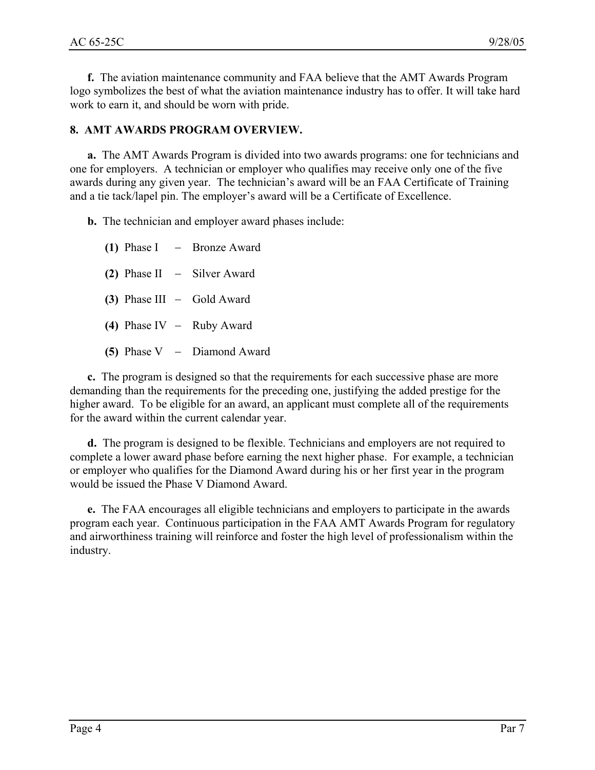**f.** The aviation maintenance community and FAA believe that the AMT Awards Program logo symbolizes the best of what the aviation maintenance industry has to offer. It will take hard work to earn it, and should be worn with pride.

### **8. AMT AWARDS PROGRAM OVERVIEW.**

**a.** The AMT Awards Program is divided into two awards programs: one for technicians and one for employers. A technician or employer who qualifies may receive only one of the five awards during any given year. The technician's award will be an FAA Certificate of Training and a tie tack/lapel pin. The employer's award will be a Certificate of Excellence.

**b.** The technician and employer award phases include:

**(1)** Phase I − Bronze Award **(2)** Phase II − Silver Award **(3)** Phase III − Gold Award **(4)** Phase IV − Ruby Award **(5)** Phase V − Diamond Award

**c.** The program is designed so that the requirements for each successive phase are more demanding than the requirements for the preceding one, justifying the added prestige for the higher award. To be eligible for an award, an applicant must complete all of the requirements for the award within the current calendar year.

**d.** The program is designed to be flexible. Technicians and employers are not required to complete a lower award phase before earning the next higher phase. For example, a technician or employer who qualifies for the Diamond Award during his or her first year in the program would be issued the Phase V Diamond Award.

**e.** The FAA encourages all eligible technicians and employers to participate in the awards program each year. Continuous participation in the FAA AMT Awards Program for regulatory and airworthiness training will reinforce and foster the high level of professionalism within the industry.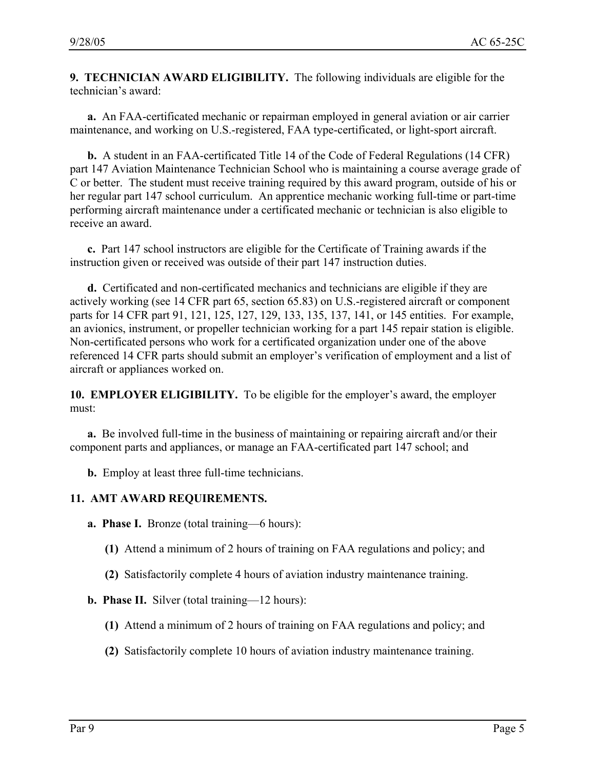**9. TECHNICIAN AWARD ELIGIBILITY.** The following individuals are eligible for the technician's award:

**a.** An FAA-certificated mechanic or repairman employed in general aviation or air carrier maintenance, and working on U.S.-registered, FAA type-certificated, or light-sport aircraft.

**b.** A student in an FAA-certificated Title 14 of the Code of Federal Regulations (14 CFR) part 147 Aviation Maintenance Technician School who is maintaining a course average grade of C or better. The student must receive training required by this award program, outside of his or her regular part 147 school curriculum. An apprentice mechanic working full-time or part-time performing aircraft maintenance under a certificated mechanic or technician is also eligible to receive an award.

**c.** Part 147 school instructors are eligible for the Certificate of Training awards if the instruction given or received was outside of their part 147 instruction duties.

**d.** Certificated and non-certificated mechanics and technicians are eligible if they are actively working (see 14 CFR part 65, section 65.83) on U.S.-registered aircraft or component parts for 14 CFR part 91, 121, 125, 127, 129, 133, 135, 137, 141, or 145 entities. For example, an avionics, instrument, or propeller technician working for a part 145 repair station is eligible. Non-certificated persons who work for a certificated organization under one of the above referenced 14 CFR parts should submit an employer's verification of employment and a list of aircraft or appliances worked on.

**10. EMPLOYER ELIGIBILITY.** To be eligible for the employer's award, the employer must:

**a.** Be involved full-time in the business of maintaining or repairing aircraft and/or their component parts and appliances, or manage an FAA-certificated part 147 school; and

**b.** Employ at least three full-time technicians.

#### **11. AMT AWARD REQUIREMENTS.**

**a. Phase I.** Bronze (total training—6 hours):

- **(1)** Attend a minimum of 2 hours of training on FAA regulations and policy; and
- **(2)** Satisfactorily complete 4 hours of aviation industry maintenance training.

#### **b. Phase II.** Silver (total training—12 hours):

- **(1)** Attend a minimum of 2 hours of training on FAA regulations and policy; and
- **(2)** Satisfactorily complete 10 hours of aviation industry maintenance training.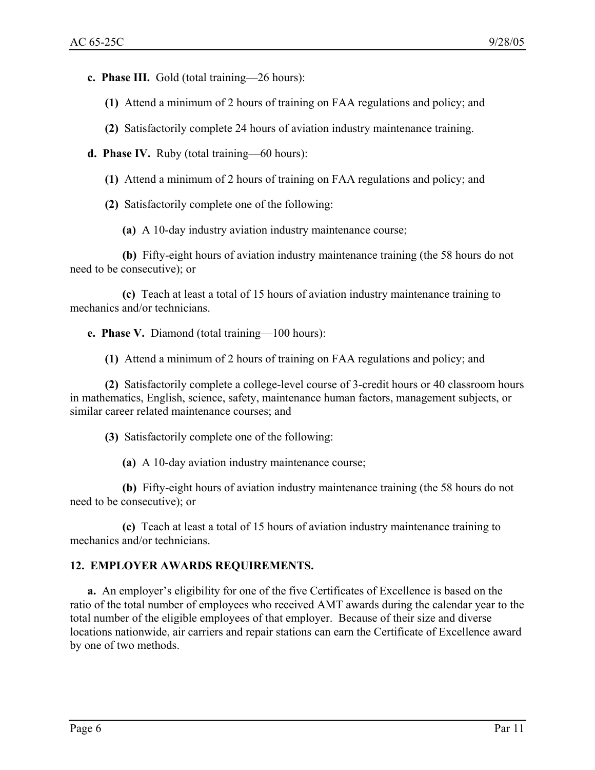**c. Phase III.** Gold (total training—26 hours):

- **(1)** Attend a minimum of 2 hours of training on FAA regulations and policy; and
- **(2)** Satisfactorily complete 24 hours of aviation industry maintenance training.
- **d. Phase IV.** Ruby (total training—60 hours):
	- **(1)** Attend a minimum of 2 hours of training on FAA regulations and policy; and
	- **(2)** Satisfactorily complete one of the following:
		- **(a)** A 10-day industry aviation industry maintenance course;

**(b)** Fifty-eight hours of aviation industry maintenance training (the 58 hours do not need to be consecutive); or

**(c)** Teach at least a total of 15 hours of aviation industry maintenance training to mechanics and/or technicians.

**e. Phase V.** Diamond (total training—100 hours):

**(1)** Attend a minimum of 2 hours of training on FAA regulations and policy; and

**(2)** Satisfactorily complete a college-level course of 3-credit hours or 40 classroom hours in mathematics, English, science, safety, maintenance human factors, management subjects, or similar career related maintenance courses; and

**(3)** Satisfactorily complete one of the following:

**(a)** A 10-day aviation industry maintenance course;

**(b)** Fifty-eight hours of aviation industry maintenance training (the 58 hours do not need to be consecutive); or

**(c)** Teach at least a total of 15 hours of aviation industry maintenance training to mechanics and/or technicians.

#### **12. EMPLOYER AWARDS REQUIREMENTS.**

**a.** An employer's eligibility for one of the five Certificates of Excellence is based on the ratio of the total number of employees who received AMT awards during the calendar year to the total number of the eligible employees of that employer. Because of their size and diverse locations nationwide, air carriers and repair stations can earn the Certificate of Excellence award by one of two methods.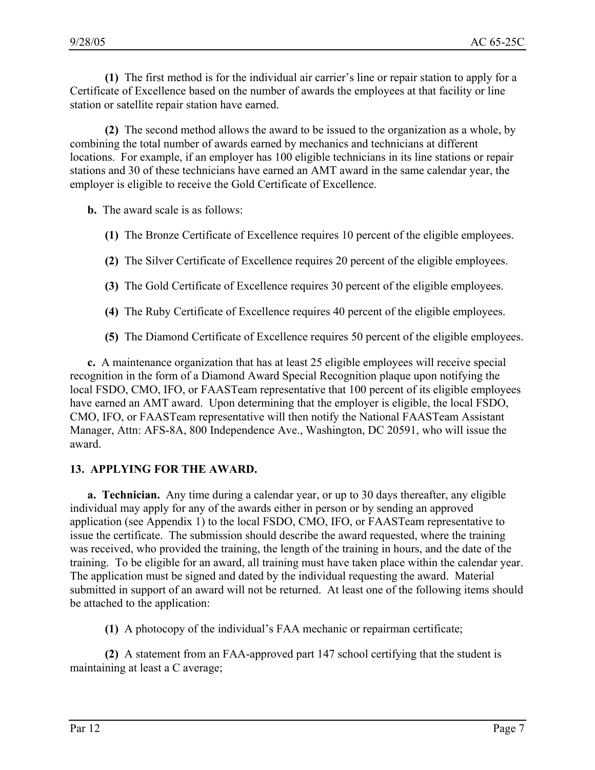**(1)** The first method is for the individual air carrier's line or repair station to apply for a Certificate of Excellence based on the number of awards the employees at that facility or line station or satellite repair station have earned.

**(2)** The second method allows the award to be issued to the organization as a whole, by combining the total number of awards earned by mechanics and technicians at different locations. For example, if an employer has 100 eligible technicians in its line stations or repair stations and 30 of these technicians have earned an AMT award in the same calendar year, the employer is eligible to receive the Gold Certificate of Excellence.

**b.** The award scale is as follows:

- **(1)** The Bronze Certificate of Excellence requires 10 percent of the eligible employees.
- **(2)** The Silver Certificate of Excellence requires 20 percent of the eligible employees.
- **(3)** The Gold Certificate of Excellence requires 30 percent of the eligible employees.
- **(4)** The Ruby Certificate of Excellence requires 40 percent of the eligible employees.
- **(5)** The Diamond Certificate of Excellence requires 50 percent of the eligible employees.

**c.** A maintenance organization that has at least 25 eligible employees will receive special recognition in the form of a Diamond Award Special Recognition plaque upon notifying the local FSDO, CMO, IFO, or FAASTeam representative that 100 percent of its eligible employees have earned an AMT award. Upon determining that the employer is eligible, the local FSDO, CMO, IFO, or FAASTeam representative will then notify the National FAASTeam Assistant Manager, Attn: AFS-8A, 800 Independence Ave., Washington, DC 20591, who will issue the award.

#### **13. APPLYING FOR THE AWARD.**

**a. Technician.** Any time during a calendar year, or up to 30 days thereafter, any eligible individual may apply for any of the awards either in person or by sending an approved application (see Appendix 1) to the local FSDO, CMO, IFO, or FAASTeam representative to issue the certificate. The submission should describe the award requested, where the training was received, who provided the training, the length of the training in hours, and the date of the training. To be eligible for an award, all training must have taken place within the calendar year. The application must be signed and dated by the individual requesting the award. Material submitted in support of an award will not be returned. At least one of the following items should be attached to the application:

**(1)** A photocopy of the individual's FAA mechanic or repairman certificate;

**(2)** A statement from an FAA-approved part 147 school certifying that the student is maintaining at least a C average;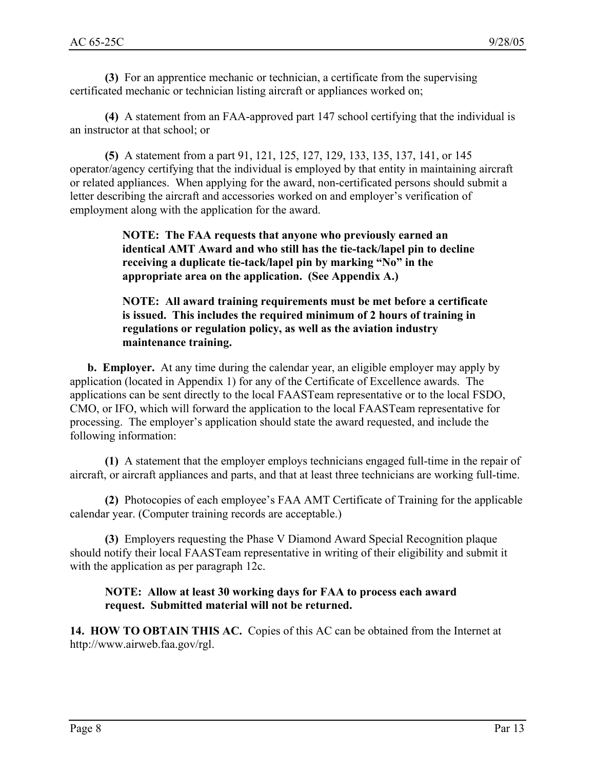**(3)** For an apprentice mechanic or technician, a certificate from the supervising certificated mechanic or technician listing aircraft or appliances worked on;

**(4)** A statement from an FAA-approved part 147 school certifying that the individual is an instructor at that school; or

**(5)** A statement from a part 91, 121, 125, 127, 129, 133, 135, 137, 141, or 145 operator/agency certifying that the individual is employed by that entity in maintaining aircraft or related appliances. When applying for the award, non-certificated persons should submit a letter describing the aircraft and accessories worked on and employer's verification of employment along with the application for the award.

> **NOTE: The FAA requests that anyone who previously earned an identical AMT Award and who still has the tie-tack/lapel pin to decline receiving a duplicate tie-tack/lapel pin by marking "No" in the appropriate area on the application. (See Appendix A.)**

**NOTE: All award training requirements must be met before a certificate is issued. This includes the required minimum of 2 hours of training in regulations or regulation policy, as well as the aviation industry maintenance training.** 

**b. Employer.** At any time during the calendar year, an eligible employer may apply by application (located in Appendix 1) for any of the Certificate of Excellence awards. The applications can be sent directly to the local FAASTeam representative or to the local FSDO, CMO, or IFO, which will forward the application to the local FAASTeam representative for processing. The employer's application should state the award requested, and include the following information:

**(1)** A statement that the employer employs technicians engaged full-time in the repair of aircraft, or aircraft appliances and parts, and that at least three technicians are working full-time.

**(2)** Photocopies of each employee's FAA AMT Certificate of Training for the applicable calendar year. (Computer training records are acceptable.)

**(3)** Employers requesting the Phase V Diamond Award Special Recognition plaque should notify their local FAASTeam representative in writing of their eligibility and submit it with the application as per paragraph 12c.

#### **NOTE: Allow at least 30 working days for FAA to process each award request. Submitted material will not be returned.**

**14. HOW TO OBTAIN THIS AC.** Copies of this AC can be obtained from the Internet at http://www.airweb.faa.gov/rgl.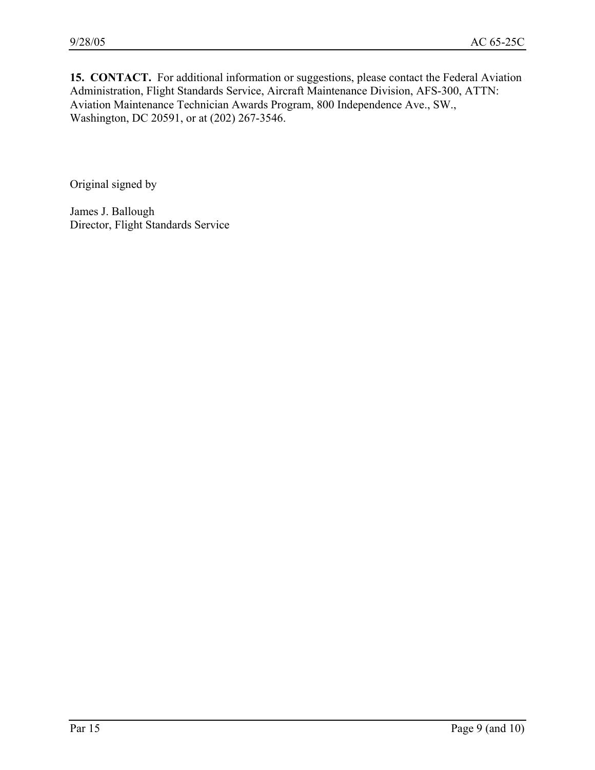15. CONTACT. For additional information or suggestions, please contact the Federal Aviation Administration, Flight Standards Service, Aircraft Maintenance Division, AFS-300, ATTN: Aviation Maintenance Technician Awards Program, 800 Independence Ave., SW., Washington, DC 20591, or at (202) 267-3546.

Original signed by

James J. Ballough Director, Flight Standards Service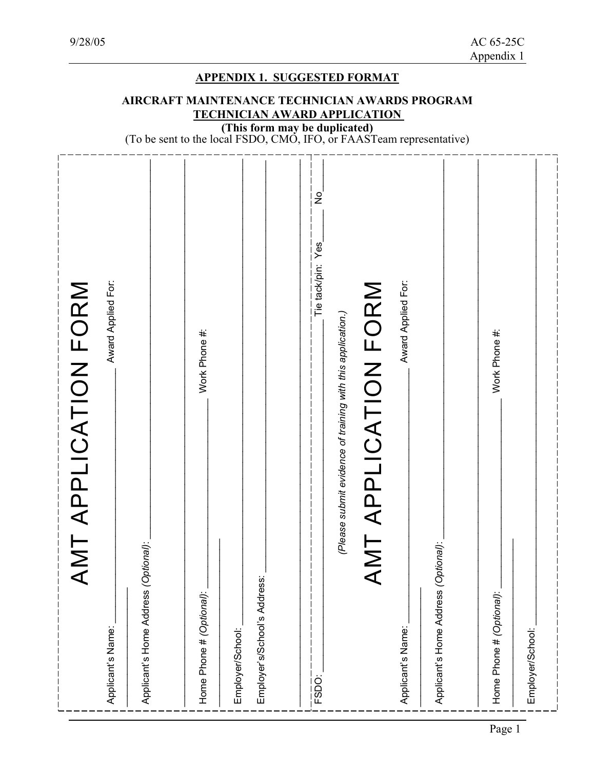| PPLICATION FORM<br>AMT A                                                                                      |                                                                                                                                                                                                                                       |
|---------------------------------------------------------------------------------------------------------------|---------------------------------------------------------------------------------------------------------------------------------------------------------------------------------------------------------------------------------------|
| Award Applied For:<br>Applicant's Name:                                                                       |                                                                                                                                                                                                                                       |
| Applicant's Home Address (Optional):                                                                          |                                                                                                                                                                                                                                       |
| Work Phone #:<br>Home Phone # (Optional):                                                                     |                                                                                                                                                                                                                                       |
| Employer's/School's Address:<br>Employer/School:                                                              |                                                                                                                                                                                                                                       |
| $\frac{1}{2}$<br>Yes<br>Tie tack/pin:<br>(Please submit evidence of training with this application.)<br>FSDO: | <b>APPENDIX 1. SUGGESTED FORMAT</b><br>AIRCRAFT MAINTENANCE TECHNICIAN AWARDS PROGRAM<br><b>TECHNICIAN AWARD APPLICATION</b><br>(This form may be duplicated)<br>(To be sent to the local FSDO, CMO, IFO, or FAASTeam representative) |
| Award Applied For:<br>PPLICATION FORM<br>AMT A<br>Applicant's Name:                                           |                                                                                                                                                                                                                                       |
| Applicant's Home Address (Optional):                                                                          |                                                                                                                                                                                                                                       |
| Work Phone #:<br>Home Phone # (Optional):                                                                     |                                                                                                                                                                                                                                       |
| Employer/School:                                                                                              |                                                                                                                                                                                                                                       |
|                                                                                                               |                                                                                                                                                                                                                                       |